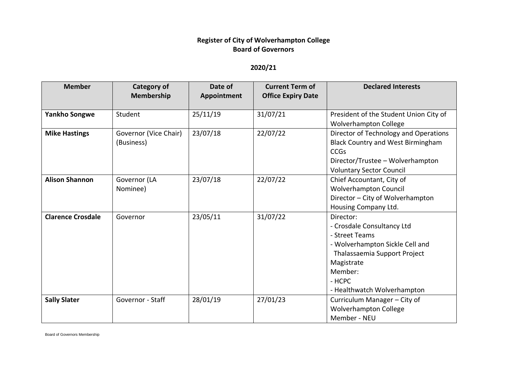## **Register of City of Wolverhampton College Board of Governors**

## **2020/21**

| <b>Member</b>            | <b>Category of</b><br><b>Membership</b> | Date of<br>Appointment | <b>Current Term of</b><br><b>Office Expiry Date</b> | <b>Declared Interests</b>                                                                                                                                                                      |
|--------------------------|-----------------------------------------|------------------------|-----------------------------------------------------|------------------------------------------------------------------------------------------------------------------------------------------------------------------------------------------------|
| <b>Yankho Songwe</b>     | Student                                 | 25/11/19               | 31/07/21                                            | President of the Student Union City of<br><b>Wolverhampton College</b>                                                                                                                         |
| <b>Mike Hastings</b>     | Governor (Vice Chair)<br>(Business)     | 23/07/18               | 22/07/22                                            | Director of Technology and Operations<br><b>Black Country and West Birmingham</b><br><b>CCGs</b><br>Director/Trustee - Wolverhampton<br><b>Voluntary Sector Council</b>                        |
| <b>Alison Shannon</b>    | Governor (LA<br>Nominee)                | 23/07/18               | 22/07/22                                            | Chief Accountant, City of<br><b>Wolverhampton Council</b><br>Director - City of Wolverhampton<br>Housing Company Ltd.                                                                          |
| <b>Clarence Crosdale</b> | Governor                                | 23/05/11               | 31/07/22                                            | Director:<br>- Crosdale Consultancy Ltd<br>- Street Teams<br>- Wolverhampton Sickle Cell and<br>Thalassaemia Support Project<br>Magistrate<br>Member:<br>- HCPC<br>- Healthwatch Wolverhampton |
| <b>Sally Slater</b>      | Governor - Staff                        | 28/01/19               | 27/01/23                                            | Curriculum Manager - City of<br><b>Wolverhampton College</b><br>Member - NEU                                                                                                                   |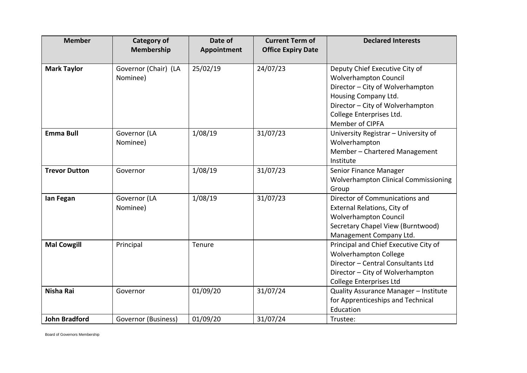| <b>Member</b>        | <b>Category of</b><br>Membership | Date of<br>Appointment | <b>Current Term of</b><br><b>Office Expiry Date</b> | <b>Declared Interests</b>                                                                                                                                                                                     |
|----------------------|----------------------------------|------------------------|-----------------------------------------------------|---------------------------------------------------------------------------------------------------------------------------------------------------------------------------------------------------------------|
| <b>Mark Taylor</b>   | Governor (Chair) (LA<br>Nominee) | 25/02/19               | 24/07/23                                            | Deputy Chief Executive City of<br><b>Wolverhampton Council</b><br>Director - City of Wolverhampton<br>Housing Company Ltd.<br>Director - City of Wolverhampton<br>College Enterprises Ltd.<br>Member of CIPFA |
| <b>Emma Bull</b>     | Governor (LA<br>Nominee)         | 1/08/19                | 31/07/23                                            | University Registrar - University of<br>Wolverhampton<br>Member - Chartered Management<br>Institute                                                                                                           |
| <b>Trevor Dutton</b> | Governor                         | 1/08/19                | 31/07/23                                            | Senior Finance Manager<br><b>Wolverhampton Clinical Commissioning</b><br>Group                                                                                                                                |
| lan Fegan            | Governor (LA<br>Nominee)         | 1/08/19                | 31/07/23                                            | Director of Communications and<br>External Relations, City of<br><b>Wolverhampton Council</b><br>Secretary Chapel View (Burntwood)<br>Management Company Ltd.                                                 |
| <b>Mal Cowgill</b>   | Principal                        | Tenure                 |                                                     | Principal and Chief Executive City of<br><b>Wolverhampton College</b><br>Director - Central Consultants Ltd<br>Director - City of Wolverhampton<br>College Enterprises Ltd                                    |
| <b>Nisha Rai</b>     | Governor                         | 01/09/20               | 31/07/24                                            | Quality Assurance Manager - Institute<br>for Apprenticeships and Technical<br>Education                                                                                                                       |
| <b>John Bradford</b> | Governor (Business)              | 01/09/20               | 31/07/24                                            | Trustee:                                                                                                                                                                                                      |